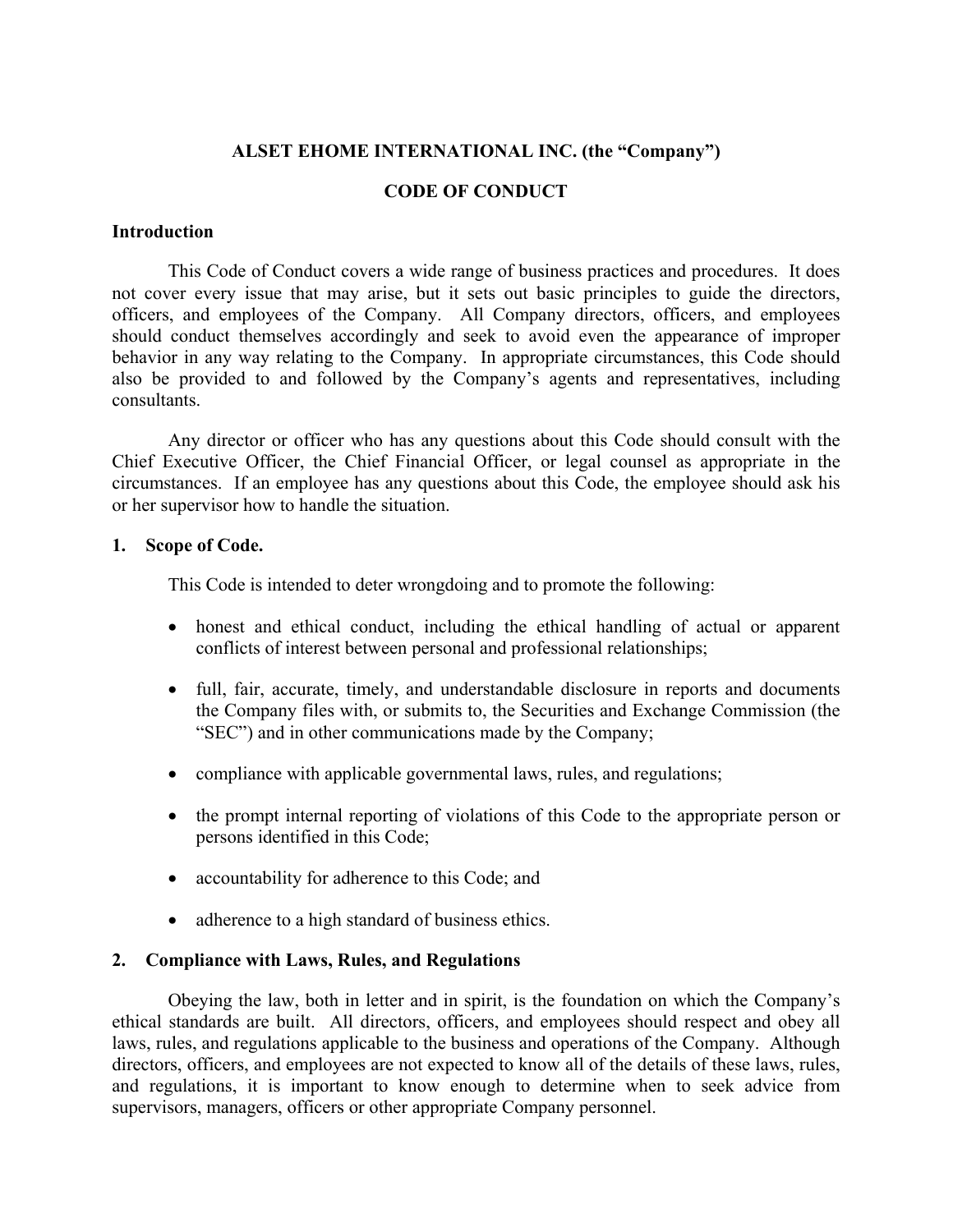# **ALSET EHOME INTERNATIONAL INC. (the "Company")**

# **CODE OF CONDUCT**

## **Introduction**

This Code of Conduct covers a wide range of business practices and procedures. It does not cover every issue that may arise, but it sets out basic principles to guide the directors, officers, and employees of the Company. All Company directors, officers, and employees should conduct themselves accordingly and seek to avoid even the appearance of improper behavior in any way relating to the Company. In appropriate circumstances, this Code should also be provided to and followed by the Company's agents and representatives, including consultants.

Any director or officer who has any questions about this Code should consult with the Chief Executive Officer, the Chief Financial Officer, or legal counsel as appropriate in the circumstances. If an employee has any questions about this Code, the employee should ask his or her supervisor how to handle the situation.

## **1. Scope of Code.**

This Code is intended to deter wrongdoing and to promote the following:

- honest and ethical conduct, including the ethical handling of actual or apparent conflicts of interest between personal and professional relationships;
- full, fair, accurate, timely, and understandable disclosure in reports and documents the Company files with, or submits to, the Securities and Exchange Commission (the "SEC") and in other communications made by the Company;
- compliance with applicable governmental laws, rules, and regulations;
- the prompt internal reporting of violations of this Code to the appropriate person or persons identified in this Code;
- accountability for adherence to this Code; and
- adherence to a high standard of business ethics.

# **2. Compliance with Laws, Rules, and Regulations**

Obeying the law, both in letter and in spirit, is the foundation on which the Company's ethical standards are built. All directors, officers, and employees should respect and obey all laws, rules, and regulations applicable to the business and operations of the Company. Although directors, officers, and employees are not expected to know all of the details of these laws, rules, and regulations, it is important to know enough to determine when to seek advice from supervisors, managers, officers or other appropriate Company personnel.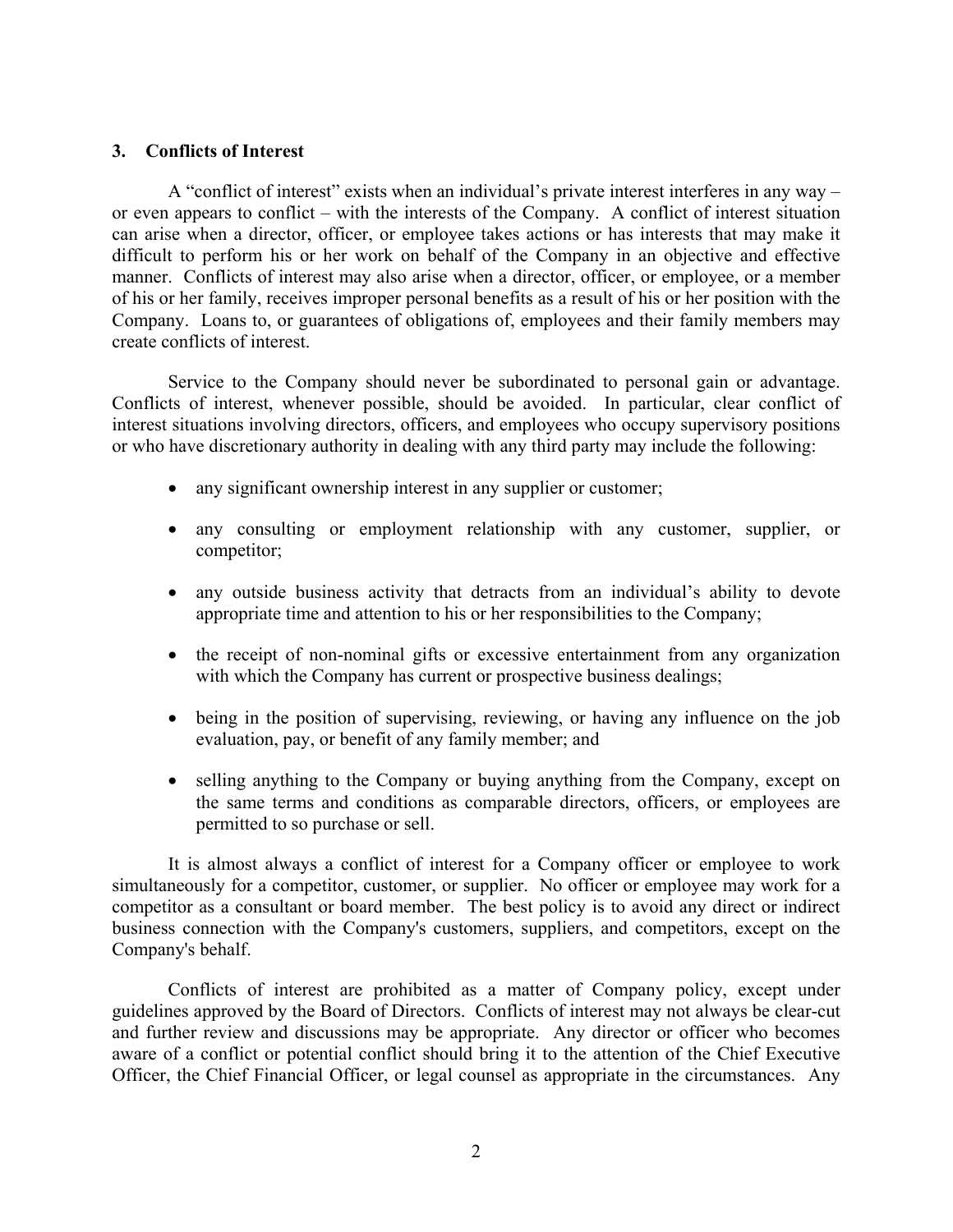## **3. Conflicts of Interest**

A "conflict of interest" exists when an individual's private interest interferes in any way – or even appears to conflict – with the interests of the Company. A conflict of interest situation can arise when a director, officer, or employee takes actions or has interests that may make it difficult to perform his or her work on behalf of the Company in an objective and effective manner. Conflicts of interest may also arise when a director, officer, or employee, or a member of his or her family, receives improper personal benefits as a result of his or her position with the Company. Loans to, or guarantees of obligations of, employees and their family members may create conflicts of interest.

Service to the Company should never be subordinated to personal gain or advantage. Conflicts of interest, whenever possible, should be avoided. In particular, clear conflict of interest situations involving directors, officers, and employees who occupy supervisory positions or who have discretionary authority in dealing with any third party may include the following:

- any significant ownership interest in any supplier or customer;
- any consulting or employment relationship with any customer, supplier, or competitor;
- any outside business activity that detracts from an individual's ability to devote appropriate time and attention to his or her responsibilities to the Company;
- the receipt of non-nominal gifts or excessive entertainment from any organization with which the Company has current or prospective business dealings;
- being in the position of supervising, reviewing, or having any influence on the job evaluation, pay, or benefit of any family member; and
- selling anything to the Company or buying anything from the Company, except on the same terms and conditions as comparable directors, officers, or employees are permitted to so purchase or sell.

It is almost always a conflict of interest for a Company officer or employee to work simultaneously for a competitor, customer, or supplier. No officer or employee may work for a competitor as a consultant or board member. The best policy is to avoid any direct or indirect business connection with the Company's customers, suppliers, and competitors, except on the Company's behalf.

Conflicts of interest are prohibited as a matter of Company policy, except under guidelines approved by the Board of Directors. Conflicts of interest may not always be clear-cut and further review and discussions may be appropriate. Any director or officer who becomes aware of a conflict or potential conflict should bring it to the attention of the Chief Executive Officer, the Chief Financial Officer, or legal counsel as appropriate in the circumstances. Any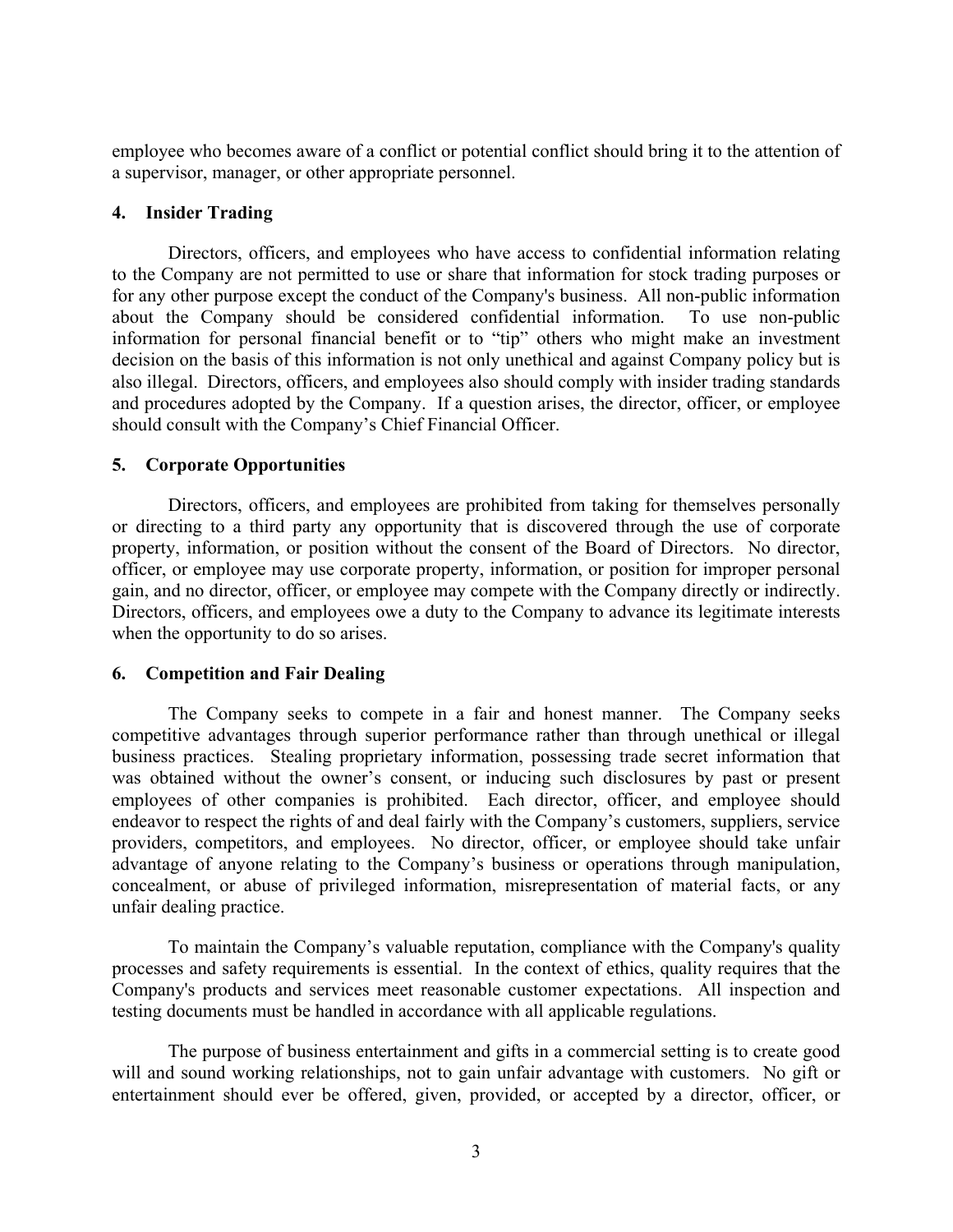employee who becomes aware of a conflict or potential conflict should bring it to the attention of a supervisor, manager, or other appropriate personnel.

## **4. Insider Trading**

Directors, officers, and employees who have access to confidential information relating to the Company are not permitted to use or share that information for stock trading purposes or for any other purpose except the conduct of the Company's business. All non-public information about the Company should be considered confidential information. To use non-public information for personal financial benefit or to "tip" others who might make an investment decision on the basis of this information is not only unethical and against Company policy but is also illegal. Directors, officers, and employees also should comply with insider trading standards and procedures adopted by the Company. If a question arises, the director, officer, or employee should consult with the Company's Chief Financial Officer.

## **5. Corporate Opportunities**

Directors, officers, and employees are prohibited from taking for themselves personally or directing to a third party any opportunity that is discovered through the use of corporate property, information, or position without the consent of the Board of Directors. No director, officer, or employee may use corporate property, information, or position for improper personal gain, and no director, officer, or employee may compete with the Company directly or indirectly. Directors, officers, and employees owe a duty to the Company to advance its legitimate interests when the opportunity to do so arises.

### **6. Competition and Fair Dealing**

The Company seeks to compete in a fair and honest manner. The Company seeks competitive advantages through superior performance rather than through unethical or illegal business practices. Stealing proprietary information, possessing trade secret information that was obtained without the owner's consent, or inducing such disclosures by past or present employees of other companies is prohibited. Each director, officer, and employee should endeavor to respect the rights of and deal fairly with the Company's customers, suppliers, service providers, competitors, and employees. No director, officer, or employee should take unfair advantage of anyone relating to the Company's business or operations through manipulation, concealment, or abuse of privileged information, misrepresentation of material facts, or any unfair dealing practice.

To maintain the Company's valuable reputation, compliance with the Company's quality processes and safety requirements is essential. In the context of ethics, quality requires that the Company's products and services meet reasonable customer expectations. All inspection and testing documents must be handled in accordance with all applicable regulations.

The purpose of business entertainment and gifts in a commercial setting is to create good will and sound working relationships, not to gain unfair advantage with customers. No gift or entertainment should ever be offered, given, provided, or accepted by a director, officer, or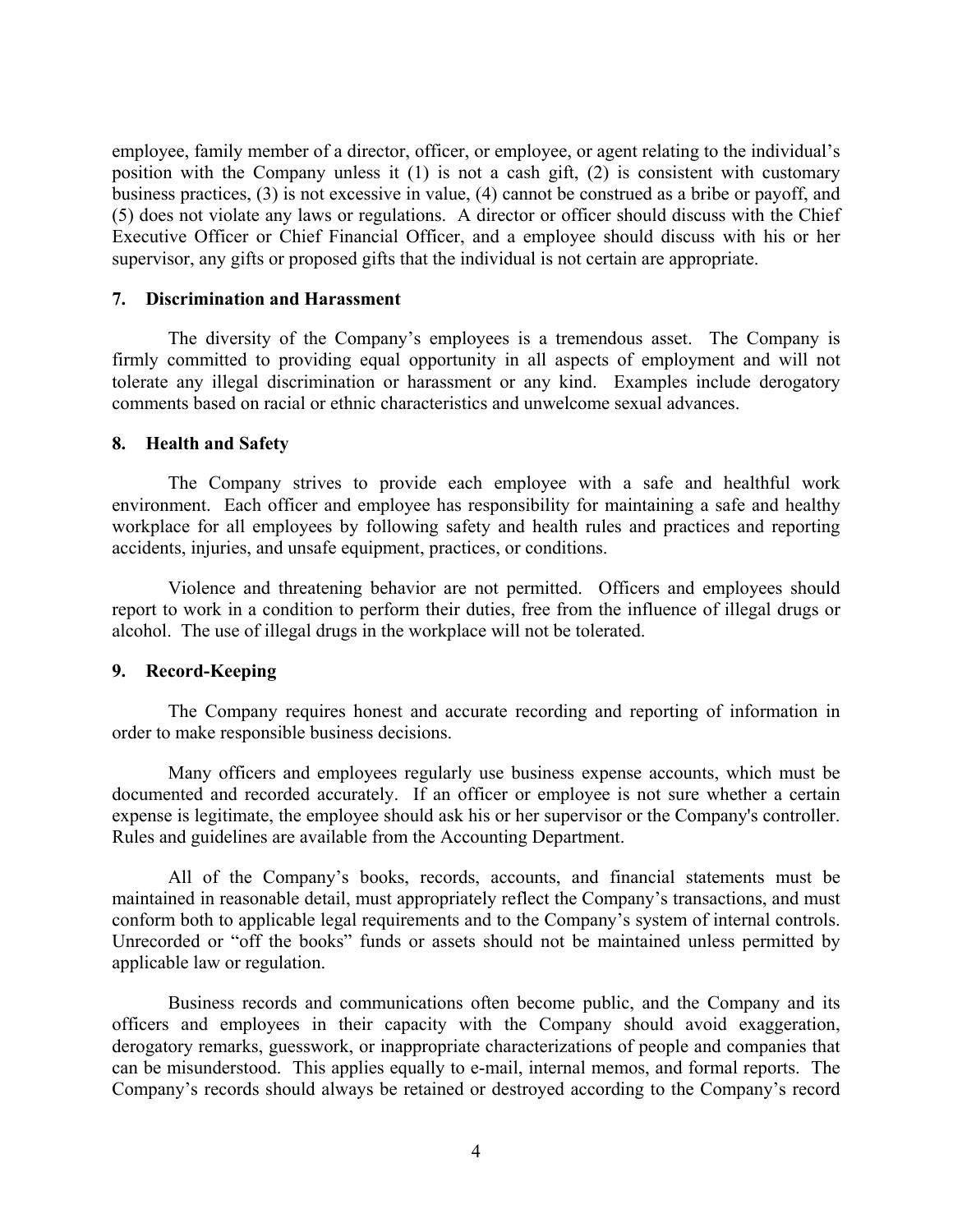employee, family member of a director, officer, or employee, or agent relating to the individual's position with the Company unless it (1) is not a cash gift, (2) is consistent with customary business practices, (3) is not excessive in value, (4) cannot be construed as a bribe or payoff, and (5) does not violate any laws or regulations. A director or officer should discuss with the Chief Executive Officer or Chief Financial Officer, and a employee should discuss with his or her supervisor, any gifts or proposed gifts that the individual is not certain are appropriate.

### **7. Discrimination and Harassment**

The diversity of the Company's employees is a tremendous asset. The Company is firmly committed to providing equal opportunity in all aspects of employment and will not tolerate any illegal discrimination or harassment or any kind. Examples include derogatory comments based on racial or ethnic characteristics and unwelcome sexual advances.

#### **8. Health and Safety**

The Company strives to provide each employee with a safe and healthful work environment. Each officer and employee has responsibility for maintaining a safe and healthy workplace for all employees by following safety and health rules and practices and reporting accidents, injuries, and unsafe equipment, practices, or conditions.

Violence and threatening behavior are not permitted. Officers and employees should report to work in a condition to perform their duties, free from the influence of illegal drugs or alcohol. The use of illegal drugs in the workplace will not be tolerated.

### **9. Record-Keeping**

The Company requires honest and accurate recording and reporting of information in order to make responsible business decisions.

Many officers and employees regularly use business expense accounts, which must be documented and recorded accurately. If an officer or employee is not sure whether a certain expense is legitimate, the employee should ask his or her supervisor or the Company's controller. Rules and guidelines are available from the Accounting Department.

All of the Company's books, records, accounts, and financial statements must be maintained in reasonable detail, must appropriately reflect the Company's transactions, and must conform both to applicable legal requirements and to the Company's system of internal controls. Unrecorded or "off the books" funds or assets should not be maintained unless permitted by applicable law or regulation.

Business records and communications often become public, and the Company and its officers and employees in their capacity with the Company should avoid exaggeration, derogatory remarks, guesswork, or inappropriate characterizations of people and companies that can be misunderstood. This applies equally to e-mail, internal memos, and formal reports. The Company's records should always be retained or destroyed according to the Company's record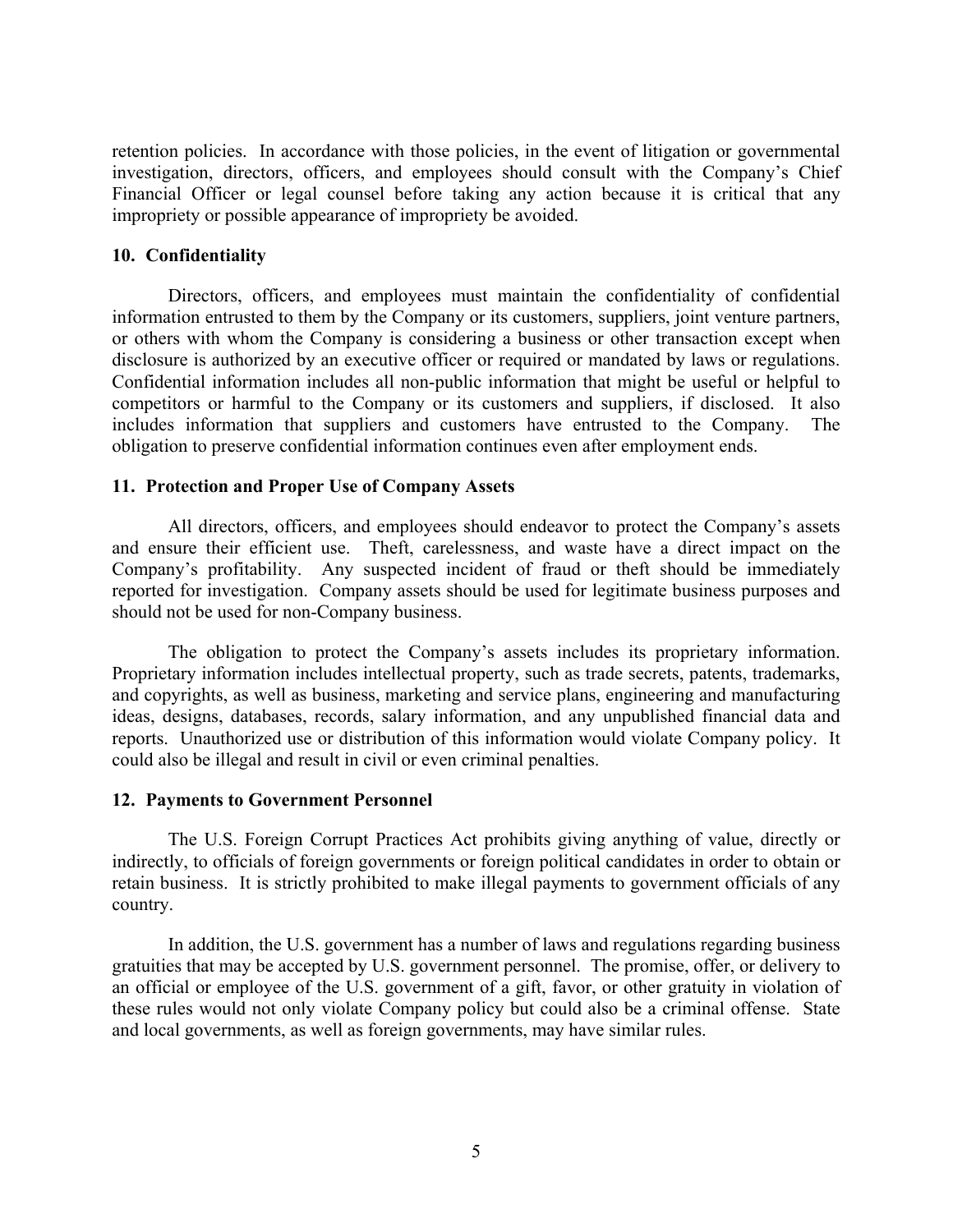retention policies. In accordance with those policies, in the event of litigation or governmental investigation, directors, officers, and employees should consult with the Company's Chief Financial Officer or legal counsel before taking any action because it is critical that any impropriety or possible appearance of impropriety be avoided.

### **10. Confidentiality**

Directors, officers, and employees must maintain the confidentiality of confidential information entrusted to them by the Company or its customers, suppliers, joint venture partners, or others with whom the Company is considering a business or other transaction except when disclosure is authorized by an executive officer or required or mandated by laws or regulations. Confidential information includes all non-public information that might be useful or helpful to competitors or harmful to the Company or its customers and suppliers, if disclosed. It also includes information that suppliers and customers have entrusted to the Company. The obligation to preserve confidential information continues even after employment ends.

# **11. Protection and Proper Use of Company Assets**

All directors, officers, and employees should endeavor to protect the Company's assets and ensure their efficient use. Theft, carelessness, and waste have a direct impact on the Company's profitability. Any suspected incident of fraud or theft should be immediately reported for investigation. Company assets should be used for legitimate business purposes and should not be used for non-Company business.

The obligation to protect the Company's assets includes its proprietary information. Proprietary information includes intellectual property, such as trade secrets, patents, trademarks, and copyrights, as well as business, marketing and service plans, engineering and manufacturing ideas, designs, databases, records, salary information, and any unpublished financial data and reports. Unauthorized use or distribution of this information would violate Company policy. It could also be illegal and result in civil or even criminal penalties.

### **12. Payments to Government Personnel**

The U.S. Foreign Corrupt Practices Act prohibits giving anything of value, directly or indirectly, to officials of foreign governments or foreign political candidates in order to obtain or retain business. It is strictly prohibited to make illegal payments to government officials of any country.

In addition, the U.S. government has a number of laws and regulations regarding business gratuities that may be accepted by U.S. government personnel. The promise, offer, or delivery to an official or employee of the U.S. government of a gift, favor, or other gratuity in violation of these rules would not only violate Company policy but could also be a criminal offense. State and local governments, as well as foreign governments, may have similar rules.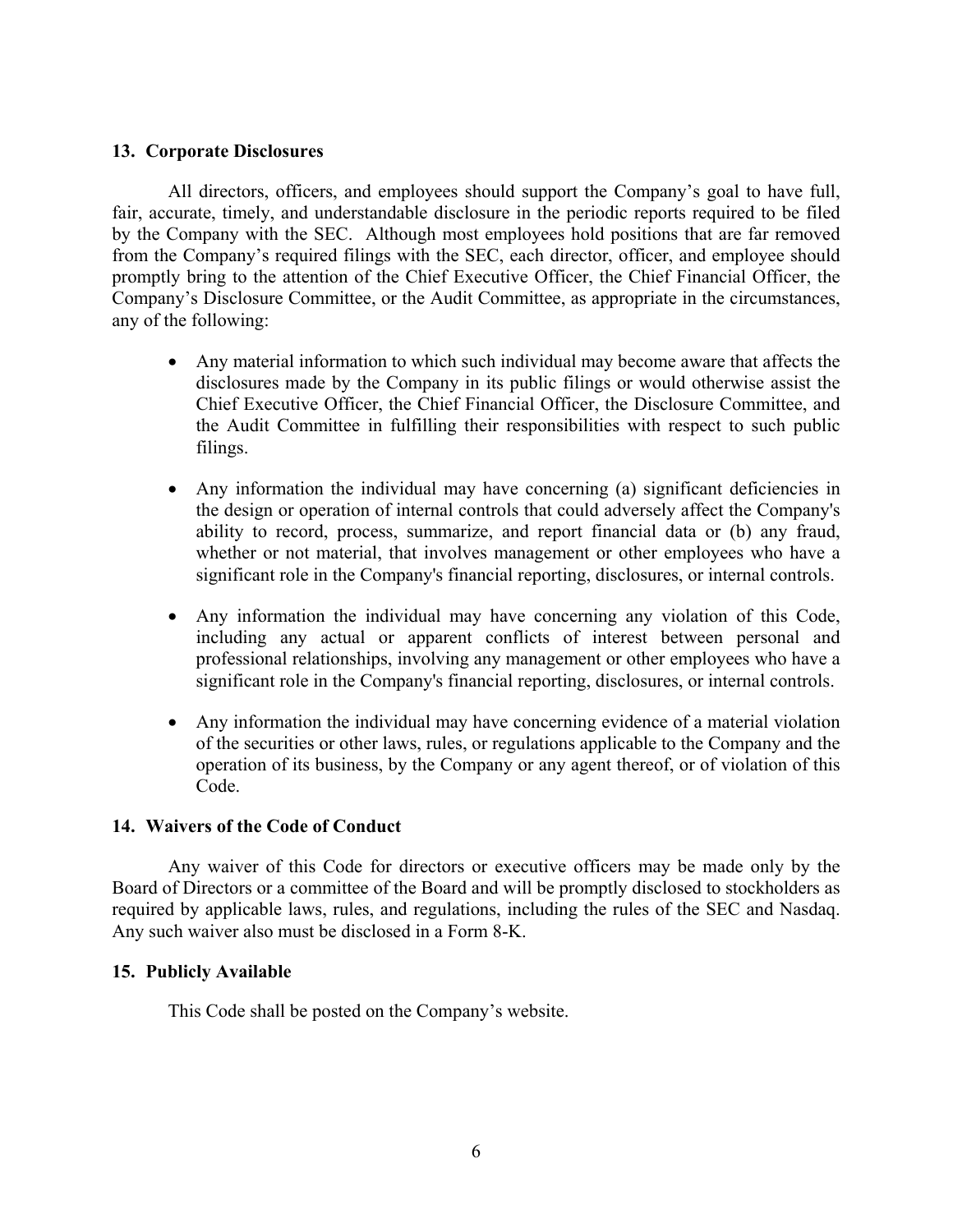## **13. Corporate Disclosures**

All directors, officers, and employees should support the Company's goal to have full, fair, accurate, timely, and understandable disclosure in the periodic reports required to be filed by the Company with the SEC. Although most employees hold positions that are far removed from the Company's required filings with the SEC, each director, officer, and employee should promptly bring to the attention of the Chief Executive Officer, the Chief Financial Officer, the Company's Disclosure Committee, or the Audit Committee, as appropriate in the circumstances, any of the following:

- Any material information to which such individual may become aware that affects the disclosures made by the Company in its public filings or would otherwise assist the Chief Executive Officer, the Chief Financial Officer, the Disclosure Committee, and the Audit Committee in fulfilling their responsibilities with respect to such public filings.
- Any information the individual may have concerning (a) significant deficiencies in the design or operation of internal controls that could adversely affect the Company's ability to record, process, summarize, and report financial data or (b) any fraud, whether or not material, that involves management or other employees who have a significant role in the Company's financial reporting, disclosures, or internal controls.
- Any information the individual may have concerning any violation of this Code, including any actual or apparent conflicts of interest between personal and professional relationships, involving any management or other employees who have a significant role in the Company's financial reporting, disclosures, or internal controls.
- Any information the individual may have concerning evidence of a material violation of the securities or other laws, rules, or regulations applicable to the Company and the operation of its business, by the Company or any agent thereof, or of violation of this Code.

# **14. Waivers of the Code of Conduct**

Any waiver of this Code for directors or executive officers may be made only by the Board of Directors or a committee of the Board and will be promptly disclosed to stockholders as required by applicable laws, rules, and regulations, including the rules of the SEC and Nasdaq. Any such waiver also must be disclosed in a Form 8-K.

# **15. Publicly Available**

This Code shall be posted on the Company's website.